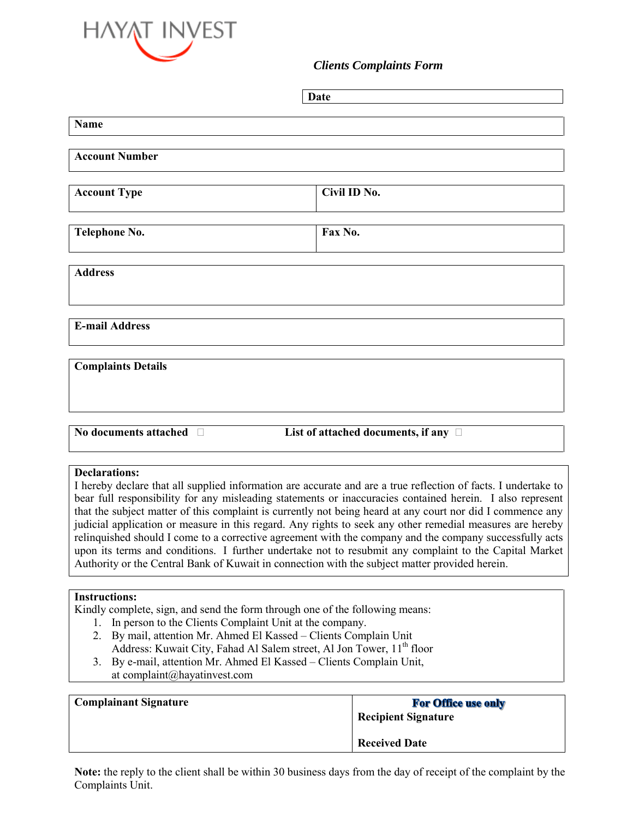

## *Clients Complaints Form*

| Date                                                                                                                                                                                                                                                                                                                                                                                                                                                                                                                                                                                                                                                                                                                                                                                                  |                                           |  |
|-------------------------------------------------------------------------------------------------------------------------------------------------------------------------------------------------------------------------------------------------------------------------------------------------------------------------------------------------------------------------------------------------------------------------------------------------------------------------------------------------------------------------------------------------------------------------------------------------------------------------------------------------------------------------------------------------------------------------------------------------------------------------------------------------------|-------------------------------------------|--|
| Name                                                                                                                                                                                                                                                                                                                                                                                                                                                                                                                                                                                                                                                                                                                                                                                                  |                                           |  |
| <b>Account Number</b>                                                                                                                                                                                                                                                                                                                                                                                                                                                                                                                                                                                                                                                                                                                                                                                 |                                           |  |
| <b>Account Type</b>                                                                                                                                                                                                                                                                                                                                                                                                                                                                                                                                                                                                                                                                                                                                                                                   | Civil ID No.                              |  |
| Telephone No.                                                                                                                                                                                                                                                                                                                                                                                                                                                                                                                                                                                                                                                                                                                                                                                         | Fax No.                                   |  |
| <b>Address</b>                                                                                                                                                                                                                                                                                                                                                                                                                                                                                                                                                                                                                                                                                                                                                                                        |                                           |  |
| <b>E-mail Address</b>                                                                                                                                                                                                                                                                                                                                                                                                                                                                                                                                                                                                                                                                                                                                                                                 |                                           |  |
| <b>Complaints Details</b>                                                                                                                                                                                                                                                                                                                                                                                                                                                                                                                                                                                                                                                                                                                                                                             |                                           |  |
| No documents attached D                                                                                                                                                                                                                                                                                                                                                                                                                                                                                                                                                                                                                                                                                                                                                                               | List of attached documents, if any $\Box$ |  |
| <b>Declarations:</b><br>I hereby declare that all supplied information are accurate and are a true reflection of facts. I undertake to<br>bear full responsibility for any misleading statements or inaccuracies contained herein. I also represent<br>that the subject matter of this complaint is currently not being heard at any court nor did I commence any<br>judicial application or measure in this regard. Any rights to seek any other remedial measures are hereby<br>relinquished should I come to a corrective agreement with the company and the company successfully acts<br>upon its terms and conditions. I further undertake not to resubmit any complaint to the Capital Market<br>Authority or the Central Bank of Kuwait in connection with the subject matter provided herein. |                                           |  |
| <b>Instructions:</b><br>Kindly complete, sign, and send the form through one of the following means:<br>In person to the Clients Complaint Unit at the company.<br>1.<br>2. By mail, attention Mr. Ahmed El Kassed - Clients Complain Unit<br>Address: Kuwait City, Fahad Al Salem street, Al Jon Tower, 11 <sup>th</sup> floor<br>$R_V$ e-mail attention Mr. Ahmed El Kassed – Clients Complain Unit<br>$\mathbf{R}$                                                                                                                                                                                                                                                                                                                                                                                 |                                           |  |

3. By e-mail, attention Mr. Ahmed El Kassed – Clients Complain Unit, at complaint@hayatinvest.com

| <b>Complainant Signature</b> | <b>For Office use only</b><br><b>Recipient Signature</b> |
|------------------------------|----------------------------------------------------------|
|                              | <b>Received Date</b>                                     |

**Note:** the reply to the client shall be within 30 business days from the day of receipt of the complaint by the Complaints Unit.